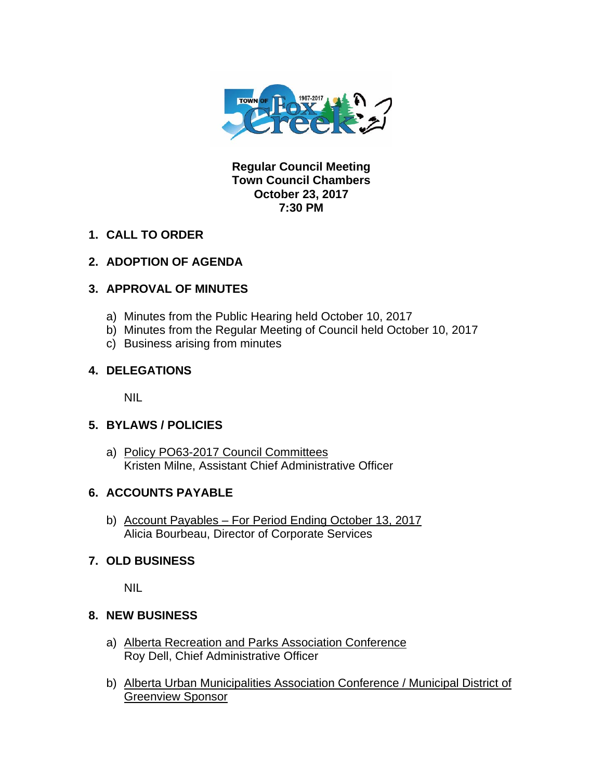

**Regular Council Meeting Town Council Chambers October 23, 2017 7:30 PM** 

**1. CALL TO ORDER** 

## **2. ADOPTION OF AGENDA**

## **3. APPROVAL OF MINUTES**

- a) Minutes from the Public Hearing held October 10, 2017
- b) Minutes from the Regular Meeting of Council held October 10, 2017
- c) Business arising from minutes

### **4. DELEGATIONS**

NIL

### **5. BYLAWS / POLICIES**

a) Policy PO63-2017 Council Committees Kristen Milne, Assistant Chief Administrative Officer

# **6. ACCOUNTS PAYABLE**

b) Account Payables – For Period Ending October 13, 2017 Alicia Bourbeau, Director of Corporate Services

# **7. OLD BUSINESS**

NIL

### **8. NEW BUSINESS**

- a) Alberta Recreation and Parks Association Conference Roy Dell, Chief Administrative Officer
- b) Alberta Urban Municipalities Association Conference / Municipal District of Greenview Sponsor